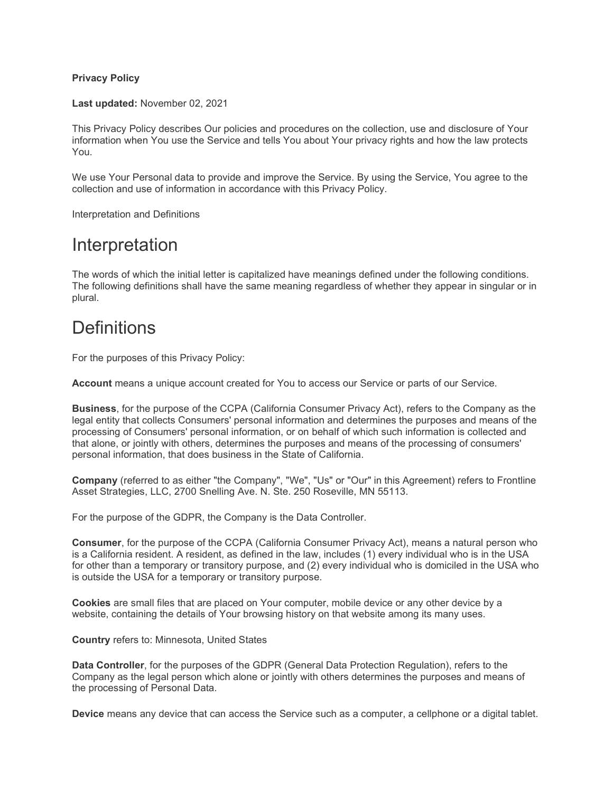#### Privacy Policy

Last updated: November 02, 2021

This Privacy Policy describes Our policies and procedures on the collection, use and disclosure of Your information when You use the Service and tells You about Your privacy rights and how the law protects You.

We use Your Personal data to provide and improve the Service. By using the Service, You agree to the collection and use of information in accordance with this Privacy Policy.

Interpretation and Definitions

### Interpretation

The words of which the initial letter is capitalized have meanings defined under the following conditions. The following definitions shall have the same meaning regardless of whether they appear in singular or in plural.

## **Definitions**

For the purposes of this Privacy Policy:

Account means a unique account created for You to access our Service or parts of our Service.

Business, for the purpose of the CCPA (California Consumer Privacy Act), refers to the Company as the legal entity that collects Consumers' personal information and determines the purposes and means of the processing of Consumers' personal information, or on behalf of which such information is collected and that alone, or jointly with others, determines the purposes and means of the processing of consumers' personal information, that does business in the State of California.

Company (referred to as either "the Company", "We", "Us" or "Our" in this Agreement) refers to Frontline Asset Strategies, LLC, 2700 Snelling Ave. N. Ste. 250 Roseville, MN 55113.

For the purpose of the GDPR, the Company is the Data Controller.

Consumer, for the purpose of the CCPA (California Consumer Privacy Act), means a natural person who is a California resident. A resident, as defined in the law, includes (1) every individual who is in the USA for other than a temporary or transitory purpose, and (2) every individual who is domiciled in the USA who is outside the USA for a temporary or transitory purpose.

Cookies are small files that are placed on Your computer, mobile device or any other device by a website, containing the details of Your browsing history on that website among its many uses.

Country refers to: Minnesota, United States

Data Controller, for the purposes of the GDPR (General Data Protection Regulation), refers to the Company as the legal person which alone or jointly with others determines the purposes and means of the processing of Personal Data.

Device means any device that can access the Service such as a computer, a cellphone or a digital tablet.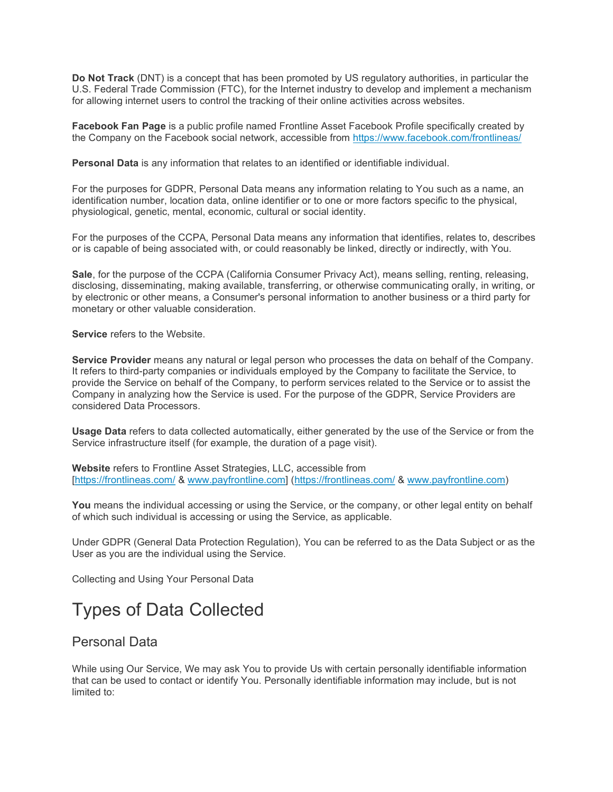Do Not Track (DNT) is a concept that has been promoted by US regulatory authorities, in particular the U.S. Federal Trade Commission (FTC), for the Internet industry to develop and implement a mechanism for allowing internet users to control the tracking of their online activities across websites.

Facebook Fan Page is a public profile named Frontline Asset Facebook Profile specifically created by the Company on the Facebook social network, accessible from https://www.facebook.com/frontlineas/

Personal Data is any information that relates to an identified or identifiable individual.

For the purposes for GDPR, Personal Data means any information relating to You such as a name, an identification number, location data, online identifier or to one or more factors specific to the physical, physiological, genetic, mental, economic, cultural or social identity.

For the purposes of the CCPA, Personal Data means any information that identifies, relates to, describes or is capable of being associated with, or could reasonably be linked, directly or indirectly, with You.

Sale, for the purpose of the CCPA (California Consumer Privacy Act), means selling, renting, releasing, disclosing, disseminating, making available, transferring, or otherwise communicating orally, in writing, or by electronic or other means, a Consumer's personal information to another business or a third party for monetary or other valuable consideration.

Service refers to the Website.

Service Provider means any natural or legal person who processes the data on behalf of the Company. It refers to third-party companies or individuals employed by the Company to facilitate the Service, to provide the Service on behalf of the Company, to perform services related to the Service or to assist the Company in analyzing how the Service is used. For the purpose of the GDPR, Service Providers are considered Data Processors.

Usage Data refers to data collected automatically, either generated by the use of the Service or from the Service infrastructure itself (for example, the duration of a page visit).

Website refers to Frontline Asset Strategies, LLC, accessible from [https://frontlineas.com/ & www.payfrontline.com] (https://frontlineas.com/ & www.payfrontline.com)

You means the individual accessing or using the Service, or the company, or other legal entity on behalf of which such individual is accessing or using the Service, as applicable.

Under GDPR (General Data Protection Regulation), You can be referred to as the Data Subject or as the User as you are the individual using the Service.

Collecting and Using Your Personal Data

## Types of Data Collected

### Personal Data

While using Our Service, We may ask You to provide Us with certain personally identifiable information that can be used to contact or identify You. Personally identifiable information may include, but is not limited to: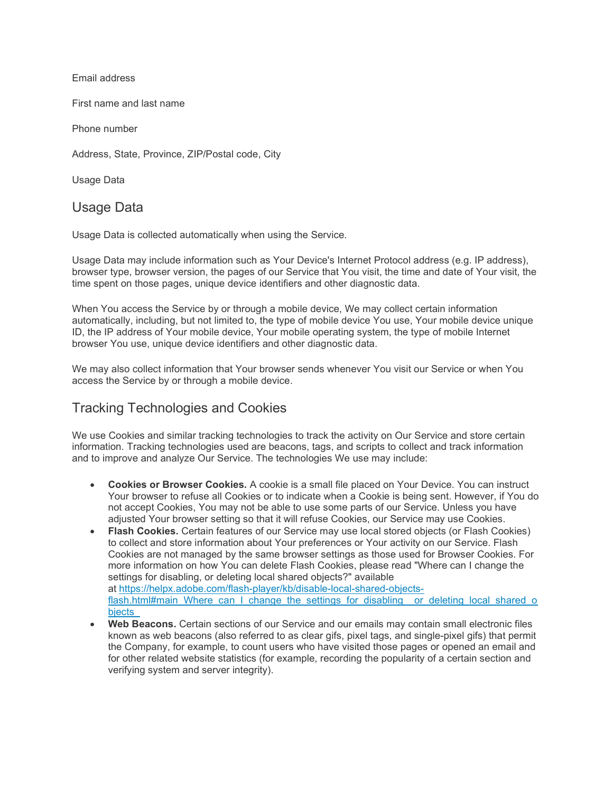Email address

First name and last name

Phone number

Address, State, Province, ZIP/Postal code, City

Usage Data

Usage Data

Usage Data is collected automatically when using the Service.

Usage Data may include information such as Your Device's Internet Protocol address (e.g. IP address), browser type, browser version, the pages of our Service that You visit, the time and date of Your visit, the time spent on those pages, unique device identifiers and other diagnostic data.

When You access the Service by or through a mobile device, We may collect certain information automatically, including, but not limited to, the type of mobile device You use, Your mobile device unique ID, the IP address of Your mobile device, Your mobile operating system, the type of mobile Internet browser You use, unique device identifiers and other diagnostic data.

We may also collect information that Your browser sends whenever You visit our Service or when You access the Service by or through a mobile device.

### Tracking Technologies and Cookies

We use Cookies and similar tracking technologies to track the activity on Our Service and store certain information. Tracking technologies used are beacons, tags, and scripts to collect and track information and to improve and analyze Our Service. The technologies We use may include:

- Cookies or Browser Cookies. A cookie is a small file placed on Your Device. You can instruct Your browser to refuse all Cookies or to indicate when a Cookie is being sent. However, if You do not accept Cookies, You may not be able to use some parts of our Service. Unless you have adjusted Your browser setting so that it will refuse Cookies, our Service may use Cookies.
- Flash Cookies. Certain features of our Service may use local stored objects (or Flash Cookies) to collect and store information about Your preferences or Your activity on our Service. Flash Cookies are not managed by the same browser settings as those used for Browser Cookies. For more information on how You can delete Flash Cookies, please read "Where can I change the settings for disabling, or deleting local shared objects?" available at https://helpx.adobe.com/flash-player/kb/disable-local-shared-objectsflash.html#main\_Where\_can\_I\_change\_the\_settings\_for\_disabling\_\_or\_deleting\_local\_shared\_o bjects\_
- Web Beacons. Certain sections of our Service and our emails may contain small electronic files known as web beacons (also referred to as clear gifs, pixel tags, and single-pixel gifs) that permit the Company, for example, to count users who have visited those pages or opened an email and for other related website statistics (for example, recording the popularity of a certain section and verifying system and server integrity).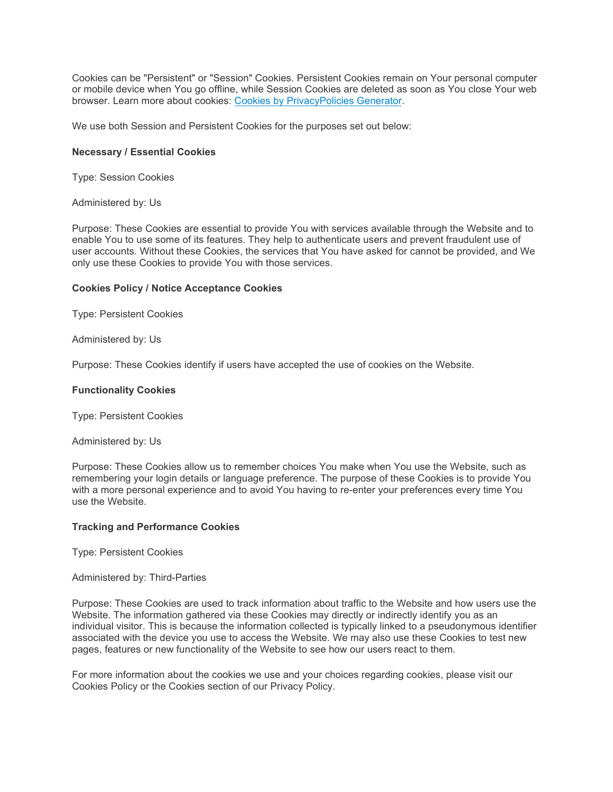Cookies can be "Persistent" or "Session" Cookies. Persistent Cookies remain on Your personal computer or mobile device when You go offline, while Session Cookies are deleted as soon as You close Your web browser. Learn more about cookies: Cookies by PrivacyPolicies Generator.

We use both Session and Persistent Cookies for the purposes set out below:

#### Necessary / Essential Cookies

Type: Session Cookies

Administered by: Us

Purpose: These Cookies are essential to provide You with services available through the Website and to enable You to use some of its features. They help to authenticate users and prevent fraudulent use of user accounts. Without these Cookies, the services that You have asked for cannot be provided, and We only use these Cookies to provide You with those services.

#### Cookies Policy / Notice Acceptance Cookies

Type: Persistent Cookies

Administered by: Us

Purpose: These Cookies identify if users have accepted the use of cookies on the Website.

#### Functionality Cookies

Type: Persistent Cookies

Administered by: Us

Purpose: These Cookies allow us to remember choices You make when You use the Website, such as remembering your login details or language preference. The purpose of these Cookies is to provide You with a more personal experience and to avoid You having to re-enter your preferences every time You use the Website.

#### Tracking and Performance Cookies

Type: Persistent Cookies

#### Administered by: Third-Parties

Purpose: These Cookies are used to track information about traffic to the Website and how users use the Website. The information gathered via these Cookies may directly or indirectly identify you as an individual visitor. This is because the information collected is typically linked to a pseudonymous identifier associated with the device you use to access the Website. We may also use these Cookies to test new pages, features or new functionality of the Website to see how our users react to them.

For more information about the cookies we use and your choices regarding cookies, please visit our Cookies Policy or the Cookies section of our Privacy Policy.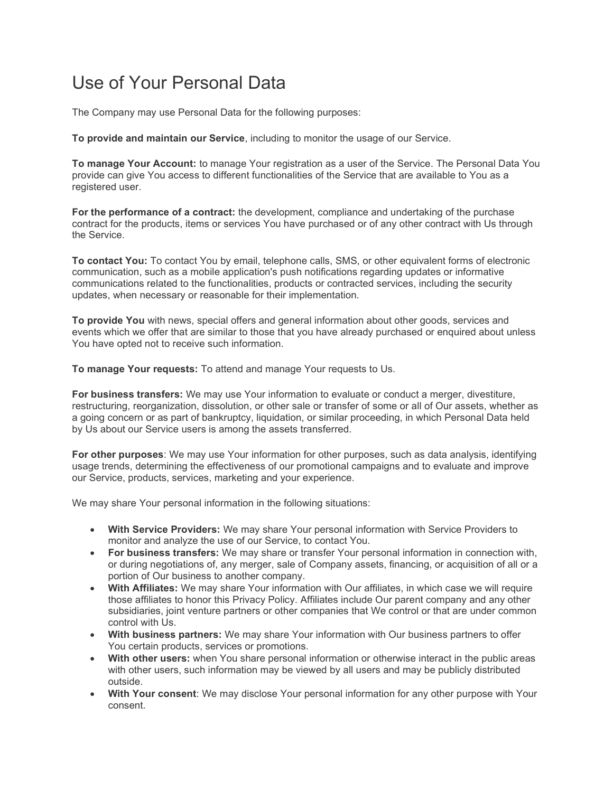# Use of Your Personal Data

The Company may use Personal Data for the following purposes:

To provide and maintain our Service, including to monitor the usage of our Service.

To manage Your Account: to manage Your registration as a user of the Service. The Personal Data You provide can give You access to different functionalities of the Service that are available to You as a registered user.

For the performance of a contract: the development, compliance and undertaking of the purchase contract for the products, items or services You have purchased or of any other contract with Us through the Service.

To contact You: To contact You by email, telephone calls, SMS, or other equivalent forms of electronic communication, such as a mobile application's push notifications regarding updates or informative communications related to the functionalities, products or contracted services, including the security updates, when necessary or reasonable for their implementation.

To provide You with news, special offers and general information about other goods, services and events which we offer that are similar to those that you have already purchased or enquired about unless You have opted not to receive such information.

To manage Your requests: To attend and manage Your requests to Us.

For business transfers: We may use Your information to evaluate or conduct a merger, divestiture, restructuring, reorganization, dissolution, or other sale or transfer of some or all of Our assets, whether as a going concern or as part of bankruptcy, liquidation, or similar proceeding, in which Personal Data held by Us about our Service users is among the assets transferred.

For other purposes: We may use Your information for other purposes, such as data analysis, identifying usage trends, determining the effectiveness of our promotional campaigns and to evaluate and improve our Service, products, services, marketing and your experience.

We may share Your personal information in the following situations:

- With Service Providers: We may share Your personal information with Service Providers to monitor and analyze the use of our Service, to contact You.
- For business transfers: We may share or transfer Your personal information in connection with, or during negotiations of, any merger, sale of Company assets, financing, or acquisition of all or a portion of Our business to another company.
- With Affiliates: We may share Your information with Our affiliates, in which case we will require those affiliates to honor this Privacy Policy. Affiliates include Our parent company and any other subsidiaries, joint venture partners or other companies that We control or that are under common control with Us.
- With business partners: We may share Your information with Our business partners to offer You certain products, services or promotions.
- With other users: when You share personal information or otherwise interact in the public areas with other users, such information may be viewed by all users and may be publicly distributed outside.
- With Your consent: We may disclose Your personal information for any other purpose with Your consent.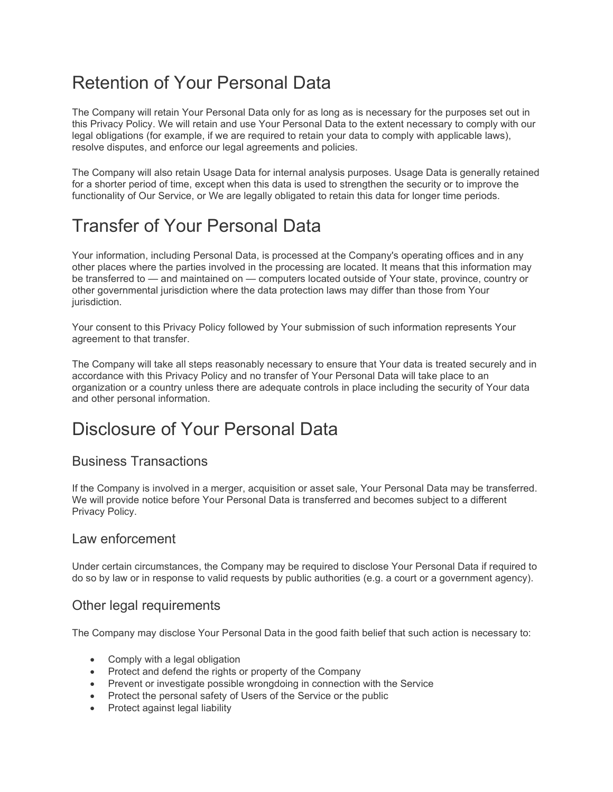# Retention of Your Personal Data

The Company will retain Your Personal Data only for as long as is necessary for the purposes set out in this Privacy Policy. We will retain and use Your Personal Data to the extent necessary to comply with our legal obligations (for example, if we are required to retain your data to comply with applicable laws), resolve disputes, and enforce our legal agreements and policies.

The Company will also retain Usage Data for internal analysis purposes. Usage Data is generally retained for a shorter period of time, except when this data is used to strengthen the security or to improve the functionality of Our Service, or We are legally obligated to retain this data for longer time periods.

# Transfer of Your Personal Data

Your information, including Personal Data, is processed at the Company's operating offices and in any other places where the parties involved in the processing are located. It means that this information may be transferred to — and maintained on — computers located outside of Your state, province, country or other governmental jurisdiction where the data protection laws may differ than those from Your jurisdiction.

Your consent to this Privacy Policy followed by Your submission of such information represents Your agreement to that transfer.

The Company will take all steps reasonably necessary to ensure that Your data is treated securely and in accordance with this Privacy Policy and no transfer of Your Personal Data will take place to an organization or a country unless there are adequate controls in place including the security of Your data and other personal information.

## Disclosure of Your Personal Data

### Business Transactions

If the Company is involved in a merger, acquisition or asset sale, Your Personal Data may be transferred. We will provide notice before Your Personal Data is transferred and becomes subject to a different Privacy Policy.

### Law enforcement

Under certain circumstances, the Company may be required to disclose Your Personal Data if required to do so by law or in response to valid requests by public authorities (e.g. a court or a government agency).

### Other legal requirements

The Company may disclose Your Personal Data in the good faith belief that such action is necessary to:

- Comply with a legal obligation
- Protect and defend the rights or property of the Company
- Prevent or investigate possible wrongdoing in connection with the Service
- Protect the personal safety of Users of the Service or the public
- Protect against legal liability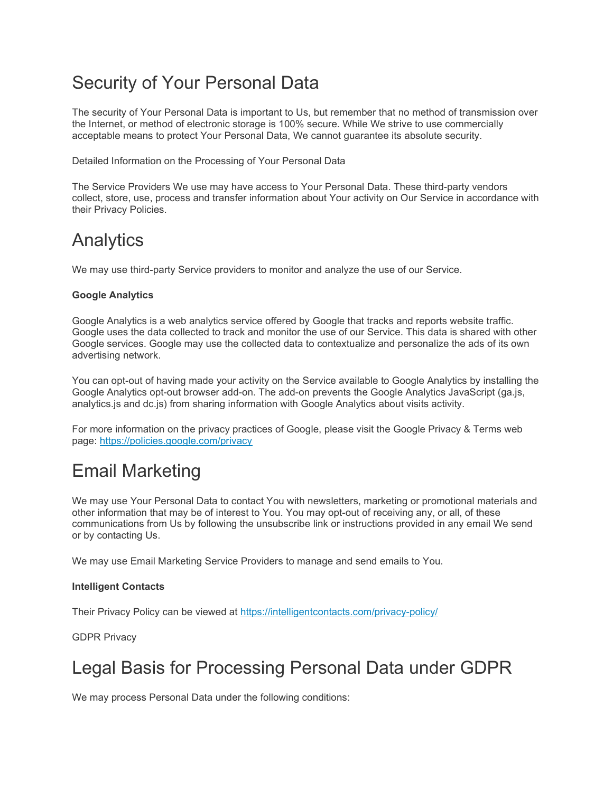# Security of Your Personal Data

The security of Your Personal Data is important to Us, but remember that no method of transmission over the Internet, or method of electronic storage is 100% secure. While We strive to use commercially acceptable means to protect Your Personal Data, We cannot guarantee its absolute security.

Detailed Information on the Processing of Your Personal Data

The Service Providers We use may have access to Your Personal Data. These third-party vendors collect, store, use, process and transfer information about Your activity on Our Service in accordance with their Privacy Policies.

### Analytics

We may use third-party Service providers to monitor and analyze the use of our Service.

### Google Analytics

Google Analytics is a web analytics service offered by Google that tracks and reports website traffic. Google uses the data collected to track and monitor the use of our Service. This data is shared with other Google services. Google may use the collected data to contextualize and personalize the ads of its own advertising network.

You can opt-out of having made your activity on the Service available to Google Analytics by installing the Google Analytics opt-out browser add-on. The add-on prevents the Google Analytics JavaScript (ga.js, analytics.js and dc.js) from sharing information with Google Analytics about visits activity.

For more information on the privacy practices of Google, please visit the Google Privacy & Terms web page: https://policies.google.com/privacy

## Email Marketing

We may use Your Personal Data to contact You with newsletters, marketing or promotional materials and other information that may be of interest to You. You may opt-out of receiving any, or all, of these communications from Us by following the unsubscribe link or instructions provided in any email We send or by contacting Us.

We may use Email Marketing Service Providers to manage and send emails to You.

### Intelligent Contacts

Their Privacy Policy can be viewed at https://intelligentcontacts.com/privacy-policy/

GDPR Privacy

## Legal Basis for Processing Personal Data under GDPR

We may process Personal Data under the following conditions: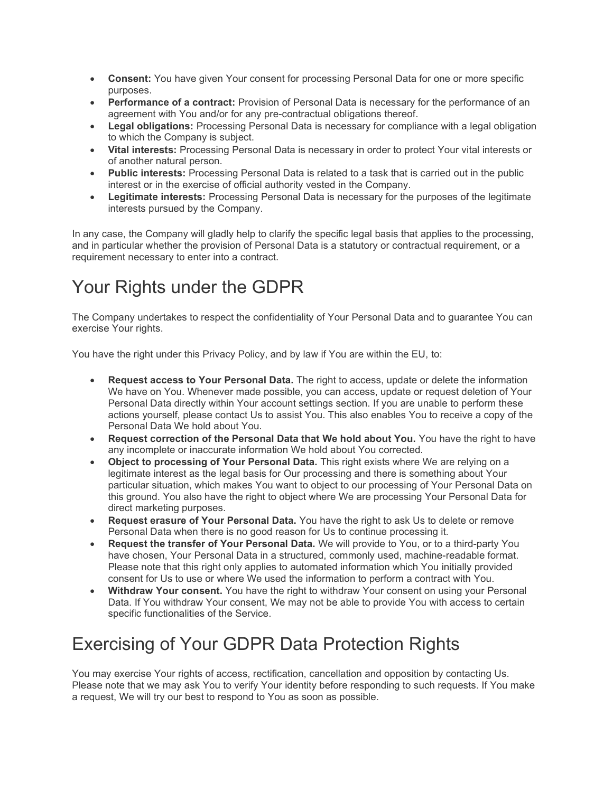- Consent: You have given Your consent for processing Personal Data for one or more specific purposes.
- Performance of a contract: Provision of Personal Data is necessary for the performance of an agreement with You and/or for any pre-contractual obligations thereof.
- Legal obligations: Processing Personal Data is necessary for compliance with a legal obligation to which the Company is subject.
- Vital interests: Processing Personal Data is necessary in order to protect Your vital interests or of another natural person.
- Public interests: Processing Personal Data is related to a task that is carried out in the public interest or in the exercise of official authority vested in the Company.
- Legitimate interests: Processing Personal Data is necessary for the purposes of the legitimate interests pursued by the Company.

In any case, the Company will gladly help to clarify the specific legal basis that applies to the processing, and in particular whether the provision of Personal Data is a statutory or contractual requirement, or a requirement necessary to enter into a contract.

# Your Rights under the GDPR

The Company undertakes to respect the confidentiality of Your Personal Data and to guarantee You can exercise Your rights.

You have the right under this Privacy Policy, and by law if You are within the EU, to:

- Request access to Your Personal Data. The right to access, update or delete the information We have on You. Whenever made possible, you can access, update or request deletion of Your Personal Data directly within Your account settings section. If you are unable to perform these actions yourself, please contact Us to assist You. This also enables You to receive a copy of the Personal Data We hold about You.
- Request correction of the Personal Data that We hold about You. You have the right to have any incomplete or inaccurate information We hold about You corrected.
- Object to processing of Your Personal Data. This right exists where We are relying on a legitimate interest as the legal basis for Our processing and there is something about Your particular situation, which makes You want to object to our processing of Your Personal Data on this ground. You also have the right to object where We are processing Your Personal Data for direct marketing purposes.
- Request erasure of Your Personal Data. You have the right to ask Us to delete or remove Personal Data when there is no good reason for Us to continue processing it.
- Request the transfer of Your Personal Data. We will provide to You, or to a third-party You have chosen, Your Personal Data in a structured, commonly used, machine-readable format. Please note that this right only applies to automated information which You initially provided consent for Us to use or where We used the information to perform a contract with You.
- Withdraw Your consent. You have the right to withdraw Your consent on using your Personal Data. If You withdraw Your consent, We may not be able to provide You with access to certain specific functionalities of the Service.

## Exercising of Your GDPR Data Protection Rights

You may exercise Your rights of access, rectification, cancellation and opposition by contacting Us. Please note that we may ask You to verify Your identity before responding to such requests. If You make a request, We will try our best to respond to You as soon as possible.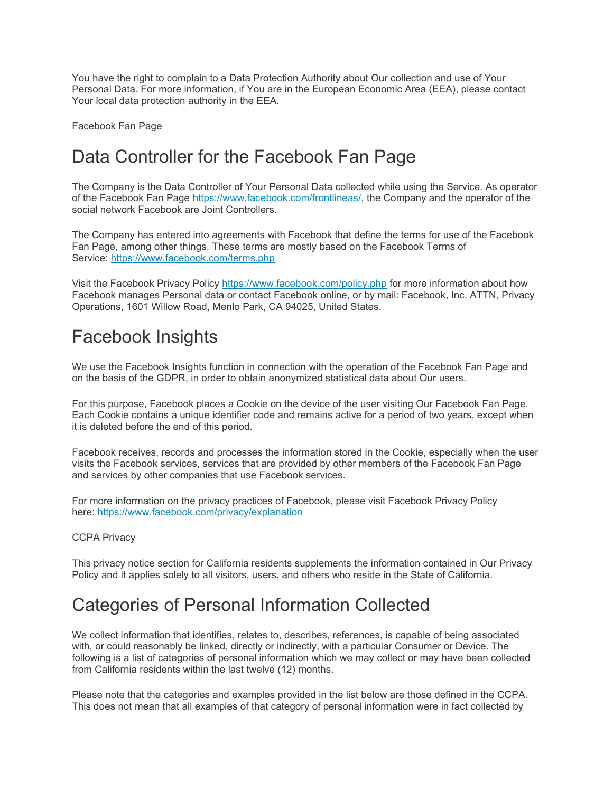You have the right to complain to a Data Protection Authority about Our collection and use of Your Personal Data. For more information, if You are in the European Economic Area (EEA), please contact Your local data protection authority in the EEA.

Facebook Fan Page

### Data Controller for the Facebook Fan Page

The Company is the Data Controller of Your Personal Data collected while using the Service. As operator of the Facebook Fan Page https://www.facebook.com/frontlineas/, the Company and the operator of the social network Facebook are Joint Controllers.

The Company has entered into agreements with Facebook that define the terms for use of the Facebook Fan Page, among other things. These terms are mostly based on the Facebook Terms of Service: https://www.facebook.com/terms.php

Visit the Facebook Privacy Policy https://www.facebook.com/policy.php for more information about how Facebook manages Personal data or contact Facebook online, or by mail: Facebook, Inc. ATTN, Privacy Operations, 1601 Willow Road, Menlo Park, CA 94025, United States.

### Facebook Insights

We use the Facebook Insights function in connection with the operation of the Facebook Fan Page and on the basis of the GDPR, in order to obtain anonymized statistical data about Our users.

For this purpose, Facebook places a Cookie on the device of the user visiting Our Facebook Fan Page. Each Cookie contains a unique identifier code and remains active for a period of two years, except when it is deleted before the end of this period.

Facebook receives, records and processes the information stored in the Cookie, especially when the user visits the Facebook services, services that are provided by other members of the Facebook Fan Page and services by other companies that use Facebook services.

For more information on the privacy practices of Facebook, please visit Facebook Privacy Policy here: https://www.facebook.com/privacy/explanation

#### CCPA Privacy

This privacy notice section for California residents supplements the information contained in Our Privacy Policy and it applies solely to all visitors, users, and others who reside in the State of California.

### Categories of Personal Information Collected

We collect information that identifies, relates to, describes, references, is capable of being associated with, or could reasonably be linked, directly or indirectly, with a particular Consumer or Device. The following is a list of categories of personal information which we may collect or may have been collected from California residents within the last twelve (12) months.

Please note that the categories and examples provided in the list below are those defined in the CCPA. This does not mean that all examples of that category of personal information were in fact collected by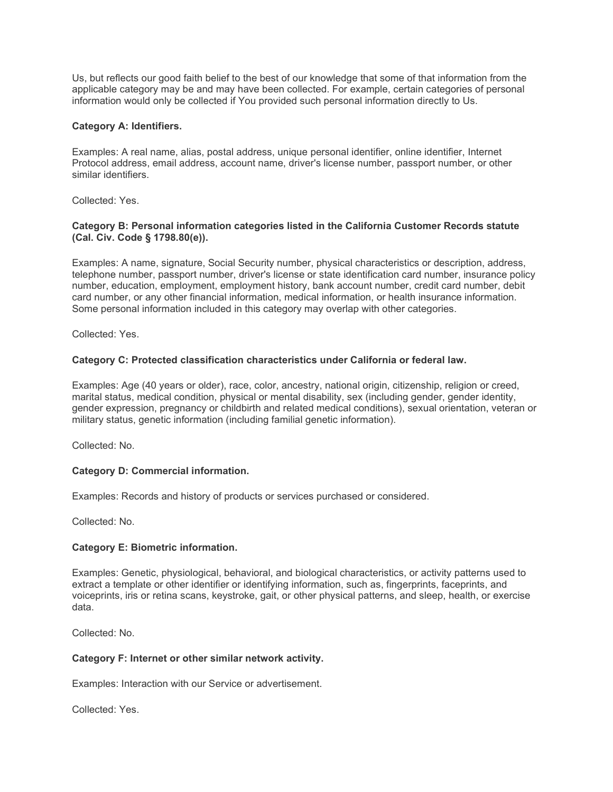Us, but reflects our good faith belief to the best of our knowledge that some of that information from the applicable category may be and may have been collected. For example, certain categories of personal information would only be collected if You provided such personal information directly to Us.

#### Category A: Identifiers.

Examples: A real name, alias, postal address, unique personal identifier, online identifier, Internet Protocol address, email address, account name, driver's license number, passport number, or other similar identifiers.

Collected: Yes.

#### Category B: Personal information categories listed in the California Customer Records statute (Cal. Civ. Code § 1798.80(e)).

Examples: A name, signature, Social Security number, physical characteristics or description, address, telephone number, passport number, driver's license or state identification card number, insurance policy number, education, employment, employment history, bank account number, credit card number, debit card number, or any other financial information, medical information, or health insurance information. Some personal information included in this category may overlap with other categories.

Collected: Yes.

#### Category C: Protected classification characteristics under California or federal law.

Examples: Age (40 years or older), race, color, ancestry, national origin, citizenship, religion or creed, marital status, medical condition, physical or mental disability, sex (including gender, gender identity, gender expression, pregnancy or childbirth and related medical conditions), sexual orientation, veteran or military status, genetic information (including familial genetic information).

Collected: No.

#### Category D: Commercial information.

Examples: Records and history of products or services purchased or considered.

Collected: No.

#### Category E: Biometric information.

Examples: Genetic, physiological, behavioral, and biological characteristics, or activity patterns used to extract a template or other identifier or identifying information, such as, fingerprints, faceprints, and voiceprints, iris or retina scans, keystroke, gait, or other physical patterns, and sleep, health, or exercise data.

Collected: No.

#### Category F: Internet or other similar network activity.

Examples: Interaction with our Service or advertisement.

Collected: Yes.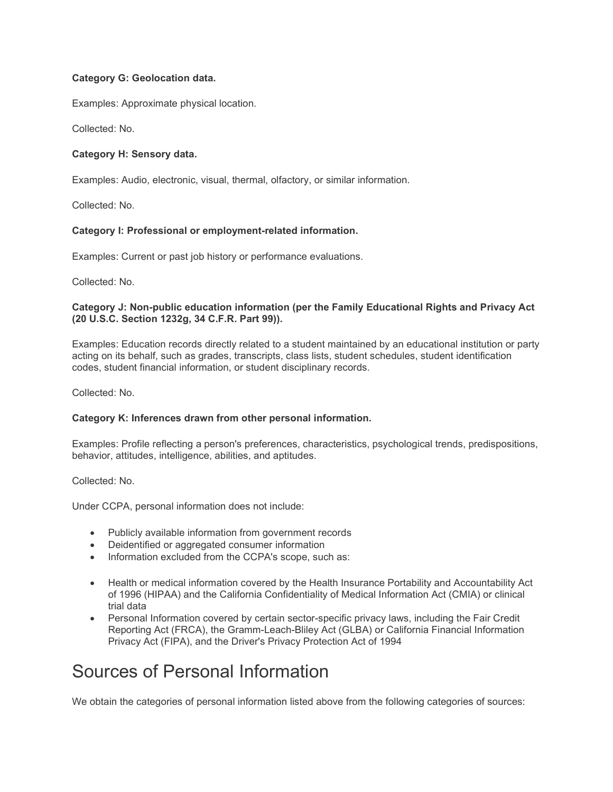### Category G: Geolocation data.

Examples: Approximate physical location.

Collected: No.

### Category H: Sensory data.

Examples: Audio, electronic, visual, thermal, olfactory, or similar information.

Collected: No.

#### Category I: Professional or employment-related information.

Examples: Current or past job history or performance evaluations.

Collected: No.

### Category J: Non-public education information (per the Family Educational Rights and Privacy Act (20 U.S.C. Section 1232g, 34 C.F.R. Part 99)).

Examples: Education records directly related to a student maintained by an educational institution or party acting on its behalf, such as grades, transcripts, class lists, student schedules, student identification codes, student financial information, or student disciplinary records.

Collected: No.

#### Category K: Inferences drawn from other personal information.

Examples: Profile reflecting a person's preferences, characteristics, psychological trends, predispositions, behavior, attitudes, intelligence, abilities, and aptitudes.

Collected: No.

Under CCPA, personal information does not include:

- Publicly available information from government records
- Deidentified or aggregated consumer information
- Information excluded from the CCPA's scope, such as:
- Health or medical information covered by the Health Insurance Portability and Accountability Act of 1996 (HIPAA) and the California Confidentiality of Medical Information Act (CMIA) or clinical trial data
- Personal Information covered by certain sector-specific privacy laws, including the Fair Credit Reporting Act (FRCA), the Gramm-Leach-Bliley Act (GLBA) or California Financial Information Privacy Act (FIPA), and the Driver's Privacy Protection Act of 1994

## Sources of Personal Information

We obtain the categories of personal information listed above from the following categories of sources: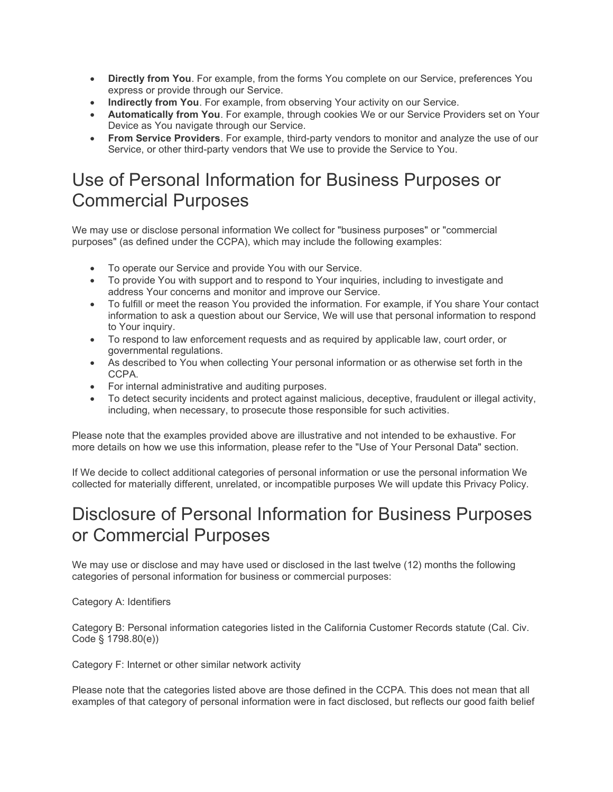- Directly from You. For example, from the forms You complete on our Service, preferences You express or provide through our Service.
- Indirectly from You. For example, from observing Your activity on our Service.
- Automatically from You. For example, through cookies We or our Service Providers set on Your Device as You navigate through our Service.
- From Service Providers. For example, third-party vendors to monitor and analyze the use of our Service, or other third-party vendors that We use to provide the Service to You.

## Use of Personal Information for Business Purposes or Commercial Purposes

We may use or disclose personal information We collect for "business purposes" or "commercial purposes" (as defined under the CCPA), which may include the following examples:

- To operate our Service and provide You with our Service.
- To provide You with support and to respond to Your inquiries, including to investigate and address Your concerns and monitor and improve our Service.
- To fulfill or meet the reason You provided the information. For example, if You share Your contact information to ask a question about our Service, We will use that personal information to respond to Your inquiry.
- To respond to law enforcement requests and as required by applicable law, court order, or governmental regulations.
- As described to You when collecting Your personal information or as otherwise set forth in the CCPA.
- For internal administrative and auditing purposes.
- To detect security incidents and protect against malicious, deceptive, fraudulent or illegal activity, including, when necessary, to prosecute those responsible for such activities.

Please note that the examples provided above are illustrative and not intended to be exhaustive. For more details on how we use this information, please refer to the "Use of Your Personal Data" section.

If We decide to collect additional categories of personal information or use the personal information We collected for materially different, unrelated, or incompatible purposes We will update this Privacy Policy.

# Disclosure of Personal Information for Business Purposes or Commercial Purposes

We may use or disclose and may have used or disclosed in the last twelve (12) months the following categories of personal information for business or commercial purposes:

### Category A: Identifiers

Category B: Personal information categories listed in the California Customer Records statute (Cal. Civ. Code § 1798.80(e))

Category F: Internet or other similar network activity

Please note that the categories listed above are those defined in the CCPA. This does not mean that all examples of that category of personal information were in fact disclosed, but reflects our good faith belief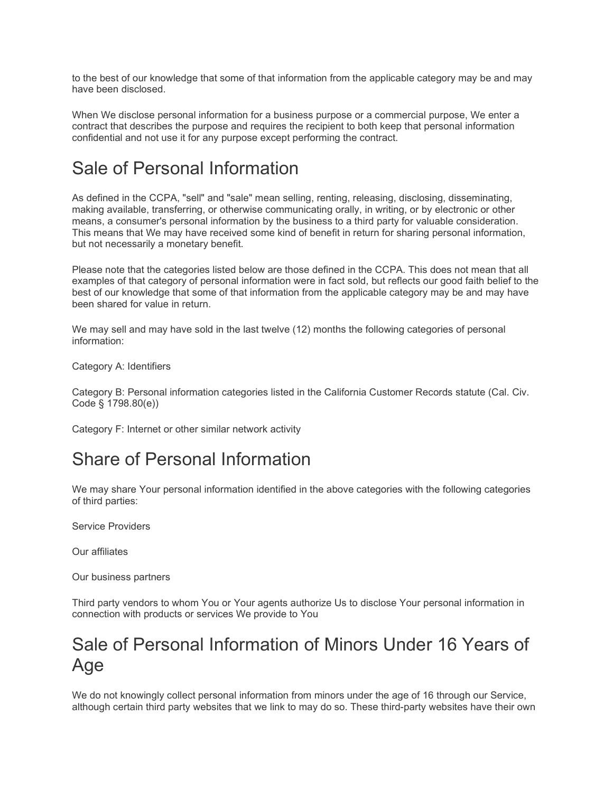to the best of our knowledge that some of that information from the applicable category may be and may have been disclosed.

When We disclose personal information for a business purpose or a commercial purpose, We enter a contract that describes the purpose and requires the recipient to both keep that personal information confidential and not use it for any purpose except performing the contract.

## Sale of Personal Information

As defined in the CCPA, "sell" and "sale" mean selling, renting, releasing, disclosing, disseminating, making available, transferring, or otherwise communicating orally, in writing, or by electronic or other means, a consumer's personal information by the business to a third party for valuable consideration. This means that We may have received some kind of benefit in return for sharing personal information, but not necessarily a monetary benefit.

Please note that the categories listed below are those defined in the CCPA. This does not mean that all examples of that category of personal information were in fact sold, but reflects our good faith belief to the best of our knowledge that some of that information from the applicable category may be and may have been shared for value in return.

We may sell and may have sold in the last twelve (12) months the following categories of personal information:

Category A: Identifiers

Category B: Personal information categories listed in the California Customer Records statute (Cal. Civ. Code § 1798.80(e))

Category F: Internet or other similar network activity

## Share of Personal Information

We may share Your personal information identified in the above categories with the following categories of third parties:

Service Providers

Our affiliates

Our business partners

Third party vendors to whom You or Your agents authorize Us to disclose Your personal information in connection with products or services We provide to You

## Sale of Personal Information of Minors Under 16 Years of Age

We do not knowingly collect personal information from minors under the age of 16 through our Service, although certain third party websites that we link to may do so. These third-party websites have their own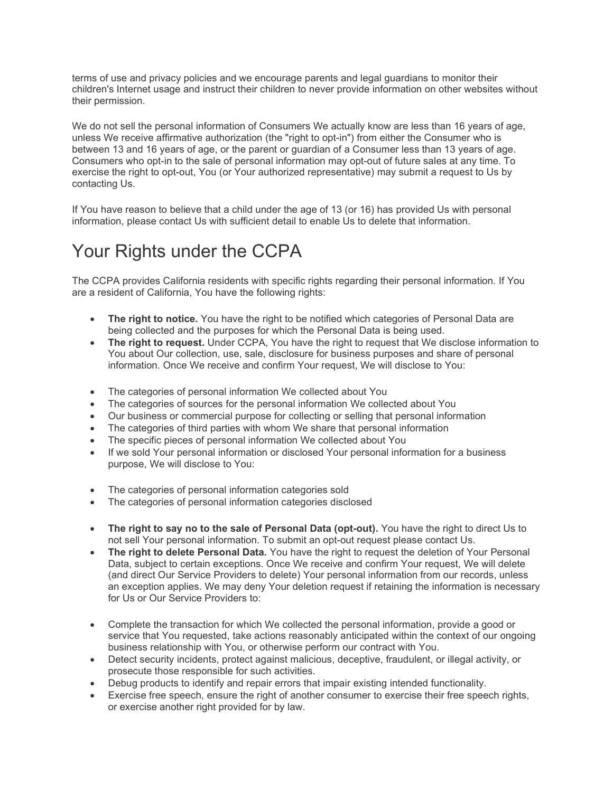terms of use and privacy policies and we encourage parents and legal guardians to monitor their children's Internet usage and instruct their children to never provide information on other websites without their permission.

We do not sell the personal information of Consumers We actually know are less than 16 years of age, unless We receive affirmative authorization (the "right to opt-in") from either the Consumer who is between 13 and 16 years of age, or the parent or guardian of a Consumer less than 13 years of age. Consumers who opt-in to the sale of personal information may opt-out of future sales at any time. To exercise the right to opt-out, You (or Your authorized representative) may submit a request to Us by contacting Us.

If You have reason to believe that a child under the age of 13 (or 16) has provided Us with personal information, please contact Us with sufficient detail to enable Us to delete that information.

# Your Rights under the CCPA

The CCPA provides California residents with specific rights regarding their personal information. If You are a resident of California, You have the following rights:

- The right to notice. You have the right to be notified which categories of Personal Data are being collected and the purposes for which the Personal Data is being used.
- The right to request. Under CCPA, You have the right to request that We disclose information to You about Our collection, use, sale, disclosure for business purposes and share of personal information. Once We receive and confirm Your request, We will disclose to You:
- The categories of personal information We collected about You
- The categories of sources for the personal information We collected about You
- Our business or commercial purpose for collecting or selling that personal information
- The categories of third parties with whom We share that personal information
- The specific pieces of personal information We collected about You
- If we sold Your personal information or disclosed Your personal information for a business purpose, We will disclose to You:
- The categories of personal information categories sold
- The categories of personal information categories disclosed
- The right to say no to the sale of Personal Data (opt-out). You have the right to direct Us to not sell Your personal information. To submit an opt-out request please contact Us.
- The right to delete Personal Data. You have the right to request the deletion of Your Personal Data, subject to certain exceptions. Once We receive and confirm Your request, We will delete (and direct Our Service Providers to delete) Your personal information from our records, unless an exception applies. We may deny Your deletion request if retaining the information is necessary for Us or Our Service Providers to:
- Complete the transaction for which We collected the personal information, provide a good or service that You requested, take actions reasonably anticipated within the context of our ongoing business relationship with You, or otherwise perform our contract with You.
- Detect security incidents, protect against malicious, deceptive, fraudulent, or illegal activity, or prosecute those responsible for such activities.
- Debug products to identify and repair errors that impair existing intended functionality.
- Exercise free speech, ensure the right of another consumer to exercise their free speech rights, or exercise another right provided for by law.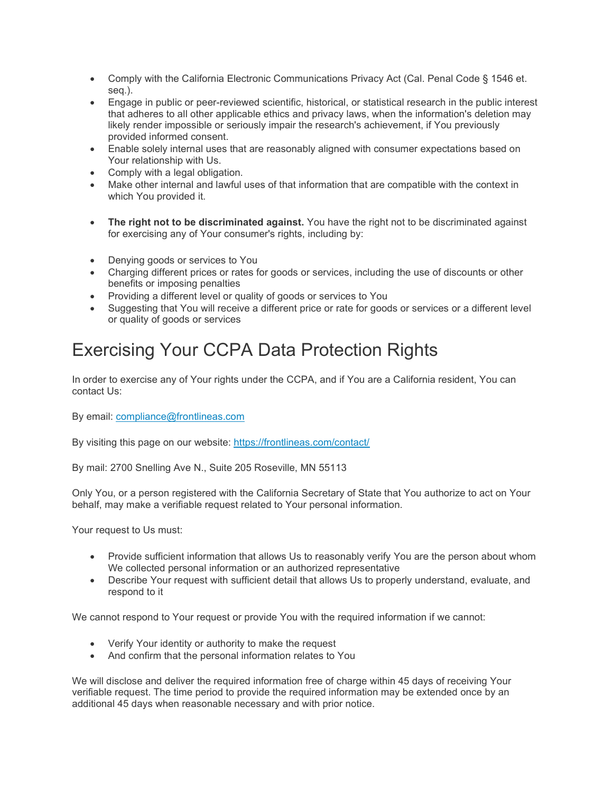- Comply with the California Electronic Communications Privacy Act (Cal. Penal Code § 1546 et. seq.).
- Engage in public or peer-reviewed scientific, historical, or statistical research in the public interest that adheres to all other applicable ethics and privacy laws, when the information's deletion may likely render impossible or seriously impair the research's achievement, if You previously provided informed consent.
- Enable solely internal uses that are reasonably aligned with consumer expectations based on Your relationship with Us.
- Comply with a legal obligation.
- Make other internal and lawful uses of that information that are compatible with the context in which You provided it.
- The right not to be discriminated against. You have the right not to be discriminated against for exercising any of Your consumer's rights, including by:
- Denying goods or services to You
- Charging different prices or rates for goods or services, including the use of discounts or other benefits or imposing penalties
- Providing a different level or quality of goods or services to You
- Suggesting that You will receive a different price or rate for goods or services or a different level or quality of goods or services

# Exercising Your CCPA Data Protection Rights

In order to exercise any of Your rights under the CCPA, and if You are a California resident, You can contact Us:

By email: compliance@frontlineas.com

By visiting this page on our website: https://frontlineas.com/contact/

By mail: 2700 Snelling Ave N., Suite 205 Roseville, MN 55113

Only You, or a person registered with the California Secretary of State that You authorize to act on Your behalf, may make a verifiable request related to Your personal information.

Your request to Us must:

- Provide sufficient information that allows Us to reasonably verify You are the person about whom We collected personal information or an authorized representative
- Describe Your request with sufficient detail that allows Us to properly understand, evaluate, and respond to it

We cannot respond to Your request or provide You with the required information if we cannot:

- Verify Your identity or authority to make the request
- And confirm that the personal information relates to You

We will disclose and deliver the required information free of charge within 45 days of receiving Your verifiable request. The time period to provide the required information may be extended once by an additional 45 days when reasonable necessary and with prior notice.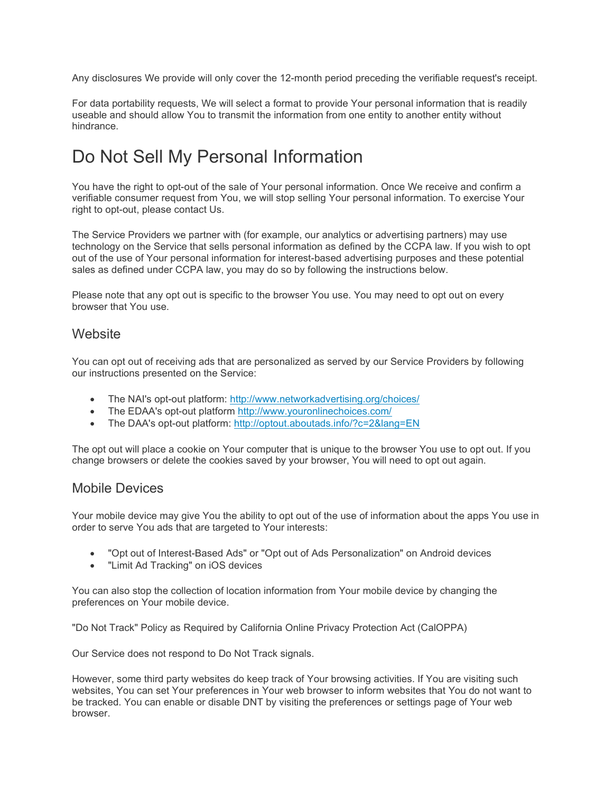Any disclosures We provide will only cover the 12-month period preceding the verifiable request's receipt.

For data portability requests, We will select a format to provide Your personal information that is readily useable and should allow You to transmit the information from one entity to another entity without hindrance.

# Do Not Sell My Personal Information

You have the right to opt-out of the sale of Your personal information. Once We receive and confirm a verifiable consumer request from You, we will stop selling Your personal information. To exercise Your right to opt-out, please contact Us.

The Service Providers we partner with (for example, our analytics or advertising partners) may use technology on the Service that sells personal information as defined by the CCPA law. If you wish to opt out of the use of Your personal information for interest-based advertising purposes and these potential sales as defined under CCPA law, you may do so by following the instructions below.

Please note that any opt out is specific to the browser You use. You may need to opt out on every browser that You use.

### **Website**

You can opt out of receiving ads that are personalized as served by our Service Providers by following our instructions presented on the Service:

- The NAI's opt-out platform: http://www.networkadvertising.org/choices/
- The EDAA's opt-out platform http://www.youronlinechoices.com/
- The DAA's opt-out platform: http://optout.aboutads.info/?c=2&lang=EN

The opt out will place a cookie on Your computer that is unique to the browser You use to opt out. If you change browsers or delete the cookies saved by your browser, You will need to opt out again.

### Mobile Devices

Your mobile device may give You the ability to opt out of the use of information about the apps You use in order to serve You ads that are targeted to Your interests:

- "Opt out of Interest-Based Ads" or "Opt out of Ads Personalization" on Android devices
- "Limit Ad Tracking" on iOS devices

You can also stop the collection of location information from Your mobile device by changing the preferences on Your mobile device.

"Do Not Track" Policy as Required by California Online Privacy Protection Act (CalOPPA)

Our Service does not respond to Do Not Track signals.

However, some third party websites do keep track of Your browsing activities. If You are visiting such websites, You can set Your preferences in Your web browser to inform websites that You do not want to be tracked. You can enable or disable DNT by visiting the preferences or settings page of Your web browser.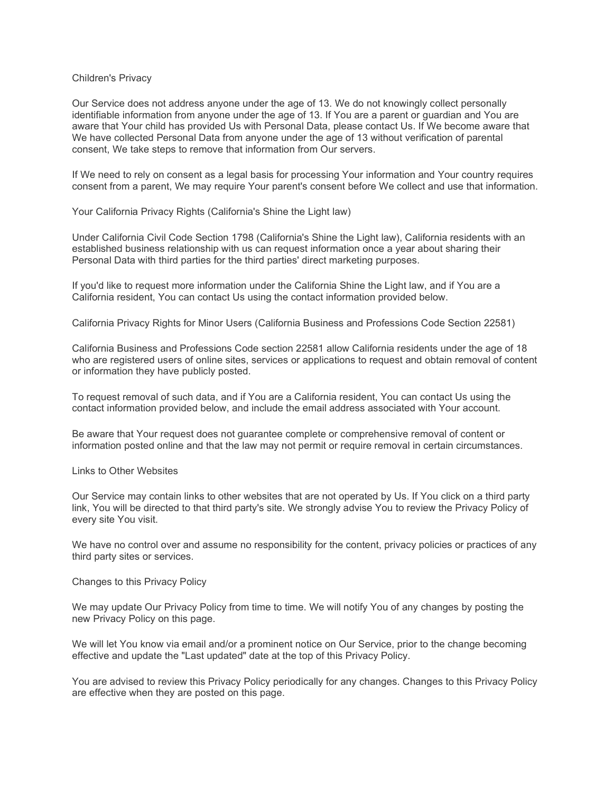#### Children's Privacy

Our Service does not address anyone under the age of 13. We do not knowingly collect personally identifiable information from anyone under the age of 13. If You are a parent or guardian and You are aware that Your child has provided Us with Personal Data, please contact Us. If We become aware that We have collected Personal Data from anyone under the age of 13 without verification of parental consent, We take steps to remove that information from Our servers.

If We need to rely on consent as a legal basis for processing Your information and Your country requires consent from a parent, We may require Your parent's consent before We collect and use that information.

Your California Privacy Rights (California's Shine the Light law)

Under California Civil Code Section 1798 (California's Shine the Light law), California residents with an established business relationship with us can request information once a year about sharing their Personal Data with third parties for the third parties' direct marketing purposes.

If you'd like to request more information under the California Shine the Light law, and if You are a California resident, You can contact Us using the contact information provided below.

California Privacy Rights for Minor Users (California Business and Professions Code Section 22581)

California Business and Professions Code section 22581 allow California residents under the age of 18 who are registered users of online sites, services or applications to request and obtain removal of content or information they have publicly posted.

To request removal of such data, and if You are a California resident, You can contact Us using the contact information provided below, and include the email address associated with Your account.

Be aware that Your request does not guarantee complete or comprehensive removal of content or information posted online and that the law may not permit or require removal in certain circumstances.

#### Links to Other Websites

Our Service may contain links to other websites that are not operated by Us. If You click on a third party link, You will be directed to that third party's site. We strongly advise You to review the Privacy Policy of every site You visit.

We have no control over and assume no responsibility for the content, privacy policies or practices of any third party sites or services.

#### Changes to this Privacy Policy

We may update Our Privacy Policy from time to time. We will notify You of any changes by posting the new Privacy Policy on this page.

We will let You know via email and/or a prominent notice on Our Service, prior to the change becoming effective and update the "Last updated" date at the top of this Privacy Policy.

You are advised to review this Privacy Policy periodically for any changes. Changes to this Privacy Policy are effective when they are posted on this page.